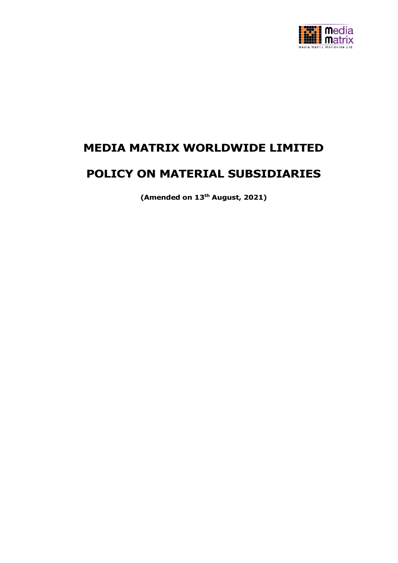

# **MEDIA MATRIX WORLDWIDE LIMITED**

# **POLICY ON MATERIAL SUBSIDIARIES**

**(Amended on 13th August, 2021)**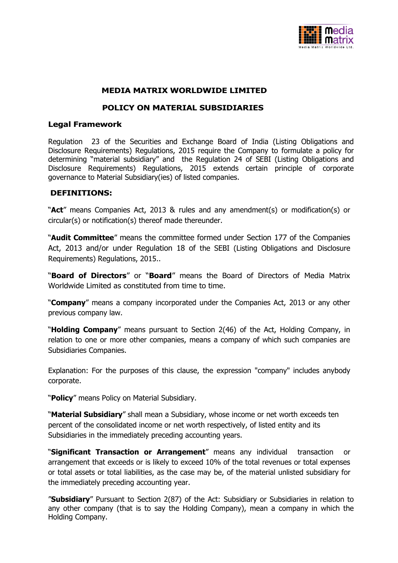

### **MEDIA MATRIX WORLDWIDE LIMITED**

### **POLICY ON MATERIAL SUBSIDIARIES**

#### **Legal Framework**

Regulation 23 of the Securities and Exchange Board of India (Listing Obligations and Disclosure Requirements) Regulations, 2015 require the Company to formulate a policy for determining "material subsidiary" and the Regulation 24 of SEBI (Listing Obligations and Disclosure Requirements) Regulations, 2015 extends certain principle of corporate governance to Material Subsidiary(ies) of listed companies.

### **DEFINITIONS:**

"**Act**" means Companies Act, 2013 & rules and any amendment(s) or modification(s) or circular(s) or notification(s) thereof made thereunder.

"**Audit Committee**" means the committee formed under Section 177 of the Companies Act, 2013 and/or under Regulation 18 of the SEBI (Listing Obligations and Disclosure Requirements) Regulations, 2015..

"**Board of Directors**" or "**Board**" means the Board of Directors of Media Matrix Worldwide Limited as constituted from time to time.

"**Company**" means a company incorporated under the Companies Act, 2013 or any other previous company law.

"**Holding Company**" means pursuant to Section 2(46) of the Act, Holding Company, in relation to one or more other companies, means a company of which such companies are Subsidiaries Companies.

Explanation: For the purposes of this clause, the expression "company" includes anybody corporate.

"**Policy**" means Policy on Material Subsidiary.

"**Material Subsidiary**" shall mean a Subsidiary, whose income or net worth exceeds ten percent of the consolidated income or net worth respectively, of listed entity and its Subsidiaries in the immediately preceding accounting years.

"**Significant Transaction or Arrangement**" means any individual transaction or arrangement that exceeds or is likely to exceed 10% of the total revenues or total expenses or total assets or total liabilities, as the case may be, of the material unlisted subsidiary for the immediately preceding accounting year.

"**Subsidiary**" Pursuant to Section 2(87) of the Act: Subsidiary or Subsidiaries in relation to any other company (that is to say the Holding Company), mean a company in which the Holding Company.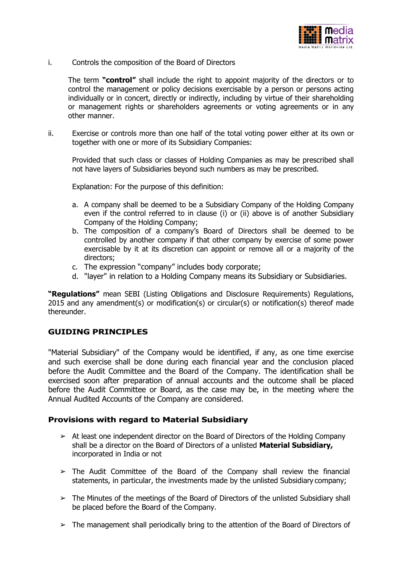

i. Controls the composition of the Board of Directors

The term **"control"** shall include the right to appoint majority of the directors or to control the management or policy decisions exercisable by a person or persons acting individually or in concert, directly or indirectly, including by virtue of their shareholding or management rights or shareholders agreements or voting agreements or in any other manner.

ii. Exercise or controls more than one half of the total voting power either at its own or together with one or more of its Subsidiary Companies:

Provided that such class or classes of Holding Companies as may be prescribed shall not have layers of Subsidiaries beyond such numbers as may be prescribed.

Explanation: For the purpose of this definition:

- a. A company shall be deemed to be a Subsidiary Company of the Holding Company even if the control referred to in clause (i) or (ii) above is of another Subsidiary Company of the Holding Company;
- b. The composition of a company's Board of Directors shall be deemed to be controlled by another company if that other company by exercise of some power exercisable by it at its discretion can appoint or remove all or a majority of the directors;
- c. The expression "company" includes body corporate;
- d. "layer" in relation to a Holding Company means its Subsidiary or Subsidiaries.

**"Regulations"** mean SEBI (Listing Obligations and Disclosure Requirements) Regulations, 2015 and any amendment(s) or modification(s) or circular(s) or notification(s) thereof made thereunder.

## **GUIDING PRINCIPLES**

"Material Subsidiary" of the Company would be identified, if any, as one time exercise and such exercise shall be done during each financial year and the conclusion placed before the Audit Committee and the Board of the Company. The identification shall be exercised soon after preparation of annual accounts and the outcome shall be placed before the Audit Committee or Board, as the case may be, in the meeting where the Annual Audited Accounts of the Company are considered.

## **Provisions with regard to Material Subsidiary**

- $\geq$  At least one independent director on the Board of Directors of the Holding Company shall be a director on the Board of Directors of a unlisted **Material Subsidiary,**  incorporated in India or not
- $\geq$  The Audit Committee of the Board of the Company shall review the financial statements, in particular, the investments made by the unlisted Subsidiary company;
- ➢ The Minutes of the meetings of the Board of Directors of the unlisted Subsidiary shall be placed before the Board of the Company.
- $\triangleright$  The management shall periodically bring to the attention of the Board of Directors of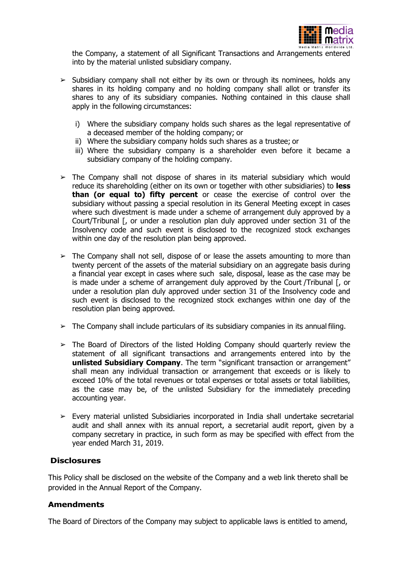

the Company, a statement of all Significant Transactions and Arrangements entered into by the material unlisted subsidiary company.

- $\geq$  Subsidiary company shall not either by its own or through its nominees, holds any shares in its holding company and no holding company shall allot or transfer its shares to any of its subsidiary companies. Nothing contained in this clause shall apply in the following circumstances:
	- i) Where the subsidiary company holds such shares as the legal representative of a deceased member of the holding company; or
	- ii) Where the subsidiary company holds such shares as a trustee; or
	- iii) Where the subsidiary company is a shareholder even before it became a subsidiary company of the holding company.
- $\geq$  The Company shall not dispose of shares in its material subsidiary which would reduce its shareholding (either on its own or together with other subsidiaries) to **less than (or equal to) fifty percent** or cease the exercise of control over the subsidiary without passing a special resolution in its General Meeting except in cases where such divestment is made under a scheme of arrangement duly approved by a Court/Tribunal [, or under a resolution plan duly approved under section 31 of the Insolvency code and such event is disclosed to the recognized stock exchanges within one day of the resolution plan being approved.
- $\geq$  The Company shall not sell, dispose of or lease the assets amounting to more than twenty percent of the assets of the material subsidiary on an aggregate basis during a financial year except in cases where such sale, disposal, lease as the case may be is made under a scheme of arrangement duly approved by the Court /Tribunal [, or under a resolution plan duly approved under section 31 of the Insolvency code and such event is disclosed to the recognized stock exchanges within one day of the resolution plan being approved.
- $\triangleright$  The Company shall include particulars of its subsidiary companies in its annual filing.
- $\geq$  The Board of Directors of the listed Holding Company should quarterly review the statement of all significant transactions and arrangements entered into by the **unlisted Subsidiary Company**. The term "significant transaction or arrangement" shall mean any individual transaction or arrangement that exceeds or is likely to exceed 10% of the total revenues or total expenses or total assets or total liabilities, as the case may be, of the unlisted Subsidiary for the immediately preceding accounting year.
- ➢ Every material unlisted Subsidiaries incorporated in India shall undertake secretarial audit and shall annex with its annual report, a secretarial audit report, given by a company secretary in practice, in such form as may be specified with effect from the year ended March 31, 2019.

#### **Disclosures**

This Policy shall be disclosed on the website of the Company and a web link thereto shall be provided in the Annual Report of the Company.

#### **Amendments**

The Board of Directors of the Company may subject to applicable laws is entitled to amend,